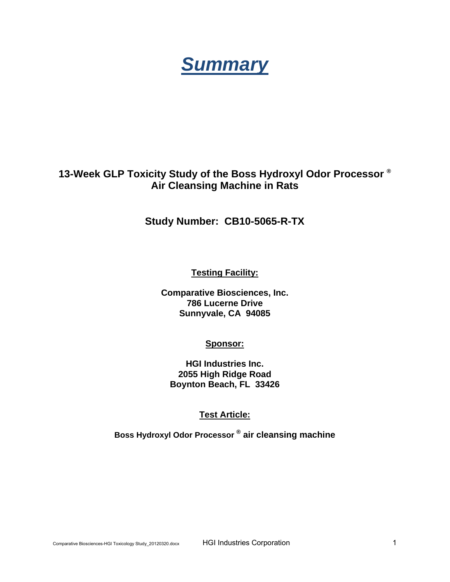# *Summary*

# **13-Week GLP Toxicity Study of the Boss Hydroxyl Odor Processor ® Air Cleansing Machine in Rats**

# **Study Number: CB10-5065-R-TX**

**Testing Facility:**

**Comparative Biosciences, Inc. 786 Lucerne Drive Sunnyvale, CA 94085** 

# **Sponsor:**

**HGI Industries Inc. 2055 High Ridge Road Boynton Beach, FL 33426** 

# **Test Article:**

**Boss Hydroxyl Odor Processor ® air cleansing machine**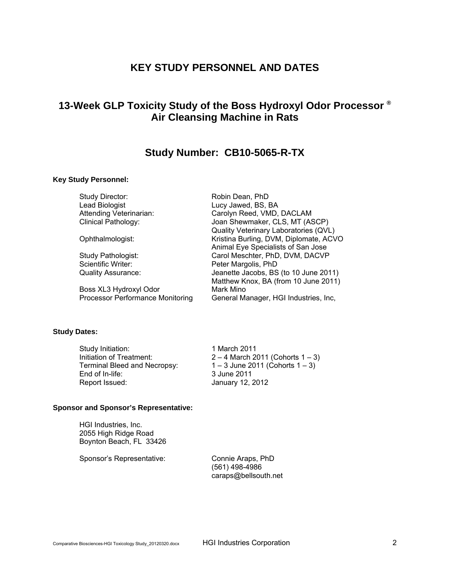# **KEY STUDY PERSONNEL AND DATES**

# **13-Week GLP Toxicity Study of the Boss Hydroxyl Odor Processor ® Air Cleansing Machine in Rats**

# **Study Number: CB10-5065-R-TX**

#### **Key Study Personnel:**

Study Director: Robin Dean, PhD Lead Biologist **Lucy Jawed, BS, BA** 

Boss XL3 Hydroxyl Odor Mark Mino<br>Processor Performance Monitoring General Ma

Attending Veterinarian: Carolyn Reed, VMD, DACLAM Clinical Pathology: Joan Shewmaker, CLS, MT (ASCP) Quality Veterinary Laboratories (QVL) Ophthalmologist: Kristina Burling, DVM, Diplomate, ACVO Animal Eye Specialists of San Jose Study Pathologist: Carol Meschter, PhD, DVM, DACVP Scientific Writer: Peter Margolis, PhD Quality Assurance: Jeanette Jacobs, BS (to 10 June 2011) Matthew Knox, BA (from 10 June 2011) General Manager, HGI Industries, Inc,

#### **Study Dates:**

| Study Initiation:            | 1 March 2011                          |
|------------------------------|---------------------------------------|
| Initiation of Treatment:     | $2 - 4$ March 2011 (Cohorts $1 - 3$ ) |
| Terminal Bleed and Necropsy: | $1 - 3$ June 2011 (Cohorts $1 - 3$ )  |
| End of In-life:              | 3 June 2011                           |
| Report Issued:               | January 12, 2012                      |

# **Sponsor and Sponsor's Representative:**

HGI Industries, Inc. 2055 High Ridge Road Boynton Beach, FL 33426

Sponsor's Representative: Connie Araps, PhD

 (561) 498-4986 caraps@bellsouth.net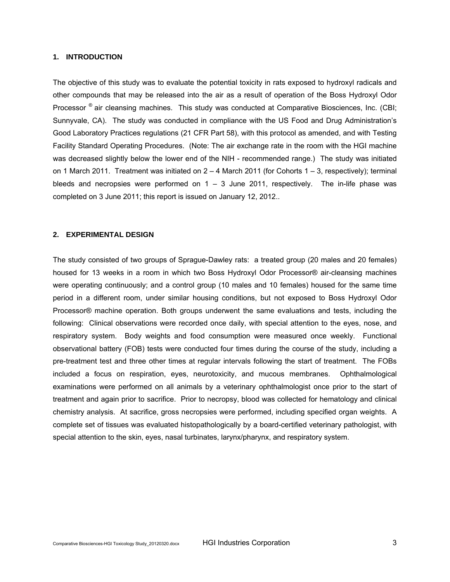## **1. INTRODUCTION**

The objective of this study was to evaluate the potential toxicity in rats exposed to hydroxyl radicals and other compounds that may be released into the air as a result of operation of the Boss Hydroxyl Odor Processor <sup>®</sup> air cleansing machines. This study was conducted at Comparative Biosciences, Inc. (CBI; Sunnyvale, CA). The study was conducted in compliance with the US Food and Drug Administration's Good Laboratory Practices regulations (21 CFR Part 58), with this protocol as amended, and with Testing Facility Standard Operating Procedures. (Note: The air exchange rate in the room with the HGI machine was decreased slightly below the lower end of the NIH - recommended range.) The study was initiated on 1 March 2011. Treatment was initiated on  $2 - 4$  March 2011 (for Cohorts  $1 - 3$ , respectively); terminal bleeds and necropsies were performed on  $1 - 3$  June 2011, respectively. The in-life phase was completed on 3 June 2011; this report is issued on January 12, 2012..

#### **2. EXPERIMENTAL DESIGN**

The study consisted of two groups of Sprague-Dawley rats: a treated group (20 males and 20 females) housed for 13 weeks in a room in which two Boss Hydroxyl Odor Processor® air-cleansing machines were operating continuously; and a control group (10 males and 10 females) housed for the same time period in a different room, under similar housing conditions, but not exposed to Boss Hydroxyl Odor Processor® machine operation. Both groups underwent the same evaluations and tests, including the following: Clinical observations were recorded once daily, with special attention to the eyes, nose, and respiratory system. Body weights and food consumption were measured once weekly. Functional observational battery (FOB) tests were conducted four times during the course of the study, including a pre-treatment test and three other times at regular intervals following the start of treatment. The FOBs included a focus on respiration, eyes, neurotoxicity, and mucous membranes. Ophthalmological examinations were performed on all animals by a veterinary ophthalmologist once prior to the start of treatment and again prior to sacrifice. Prior to necropsy, blood was collected for hematology and clinical chemistry analysis. At sacrifice, gross necropsies were performed, including specified organ weights. A complete set of tissues was evaluated histopathologically by a board-certified veterinary pathologist, with special attention to the skin, eyes, nasal turbinates, larynx/pharynx, and respiratory system.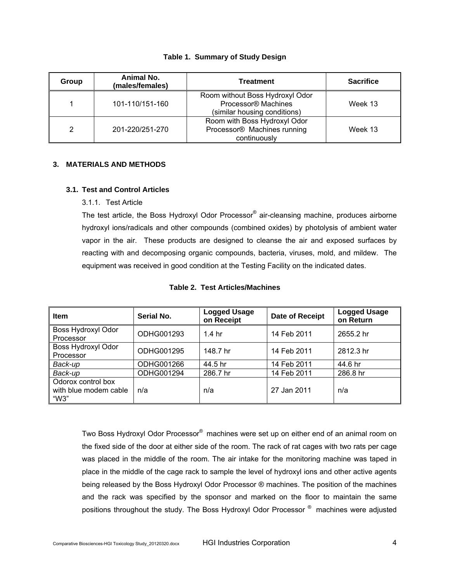|  | <b>Table 1. Summary of Study Design</b> |  |  |
|--|-----------------------------------------|--|--|
|--|-----------------------------------------|--|--|

| Group | Animal No.<br>(males/females) | <b>Treatment</b>                                                                                   | <b>Sacrifice</b> |
|-------|-------------------------------|----------------------------------------------------------------------------------------------------|------------------|
|       | 101-110/151-160               | Room without Boss Hydroxyl Odor<br>Processor <sup>®</sup> Machines<br>(similar housing conditions) | Week 13          |
| 2     | 201-220/251-270               | Room with Boss Hydroxyl Odor<br>Processor® Machines running<br>continuously                        | Week 13          |

# **3. MATERIALS AND METHODS**

## **3.1. Test and Control Articles**

3.1.1. Test Article

The test article, the Boss Hydroxyl Odor Processor® air-cleansing machine, produces airborne hydroxyl ions/radicals and other compounds (combined oxides) by photolysis of ambient water vapor in the air. These products are designed to cleanse the air and exposed surfaces by reacting with and decomposing organic compounds, bacteria, viruses, mold, and mildew. The equipment was received in good condition at the Testing Facility on the indicated dates.

| <b>Item</b>                                         | Serial No. | <b>Logged Usage</b><br>on Receipt | Date of Receipt | <b>Logged Usage</b><br>on Return |
|-----------------------------------------------------|------------|-----------------------------------|-----------------|----------------------------------|
| Boss Hydroxyl Odor<br>Processor                     | ODHG001293 | 1.4 <sub>hr</sub>                 | 14 Feb 2011     | 2655.2 hr                        |
| Boss Hydroxyl Odor<br>Processor                     | ODHG001295 | 148.7 hr                          | 14 Feb 2011     | 2812.3 hr                        |
| Back-up                                             | ODHG001266 | 44.5 hr                           | 14 Feb 2011     | 44.6 hr                          |
| Back-up                                             | ODHG001294 | 286.7 hr                          | 14 Feb 2011     | 286.8 hr                         |
| Odorox control box<br>with blue modem cable<br>"W3" | n/a        | n/a                               | 27 Jan 2011     | n/a                              |

#### **Table 2. Test Articles/Machines**

Two Boss Hydroxyl Odor Processor® machines were set up on either end of an animal room on the fixed side of the door at either side of the room. The rack of rat cages with two rats per cage was placed in the middle of the room. The air intake for the monitoring machine was taped in place in the middle of the cage rack to sample the level of hydroxyl ions and other active agents being released by the Boss Hydroxyl Odor Processor ® machines. The position of the machines and the rack was specified by the sponsor and marked on the floor to maintain the same positions throughout the study. The Boss Hydroxyl Odor Processor ® machines were adjusted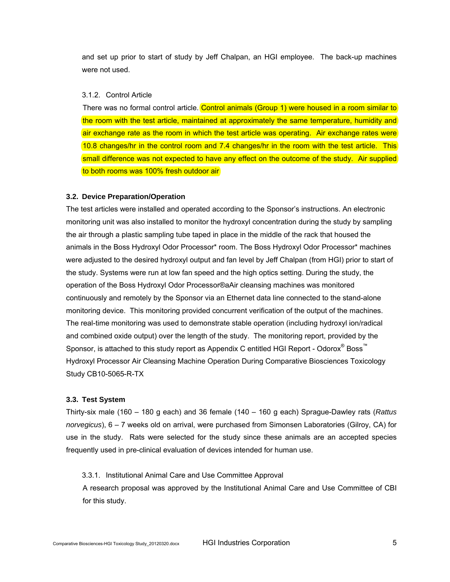and set up prior to start of study by Jeff Chalpan, an HGI employee. The back-up machines were not used.

#### 3.1.2. Control Article

There was no formal control article. Control animals (Group 1) were housed in a room similar to the room with the test article, maintained at approximately the same temperature, humidity and air exchange rate as the room in which the test article was operating. Air exchange rates were 10.8 changes/hr in the control room and 7.4 changes/hr in the room with the test article. This small difference was not expected to have any effect on the outcome of the study. Air supplied to both rooms was 100% fresh outdoor air

## **3.2. Device Preparation/Operation**

The test articles were installed and operated according to the Sponsor's instructions. An electronic monitoring unit was also installed to monitor the hydroxyl concentration during the study by sampling the air through a plastic sampling tube taped in place in the middle of the rack that housed the animals in the Boss Hydroxyl Odor Processor\* room. The Boss Hydroxyl Odor Processor\* machines were adjusted to the desired hydroxyl output and fan level by Jeff Chalpan (from HGI) prior to start of the study. Systems were run at low fan speed and the high optics setting. During the study, the operation of the Boss Hydroxyl Odor Processor®aAir cleansing machines was monitored continuously and remotely by the Sponsor via an Ethernet data line connected to the stand-alone monitoring device. This monitoring provided concurrent verification of the output of the machines. The real-time monitoring was used to demonstrate stable operation (including hydroxyl ion/radical and combined oxide output) over the length of the study. The monitoring report, provided by the Sponsor, is attached to this study report as Appendix C entitled HGI Report - Odorox® Boss™ Hydroxyl Processor Air Cleansing Machine Operation During Comparative Biosciences Toxicology Study CB10-5065-R-TX

#### **3.3. Test System**

Thirty-six male (160 – 180 g each) and 36 female (140 – 160 g each) Sprague-Dawley rats (*Rattus norvegicus*), 6 – 7 weeks old on arrival, were purchased from Simonsen Laboratories (Gilroy, CA) for use in the study. Rats were selected for the study since these animals are an accepted species frequently used in pre-clinical evaluation of devices intended for human use.

#### 3.3.1. Institutional Animal Care and Use Committee Approval

A research proposal was approved by the Institutional Animal Care and Use Committee of CBI for this study.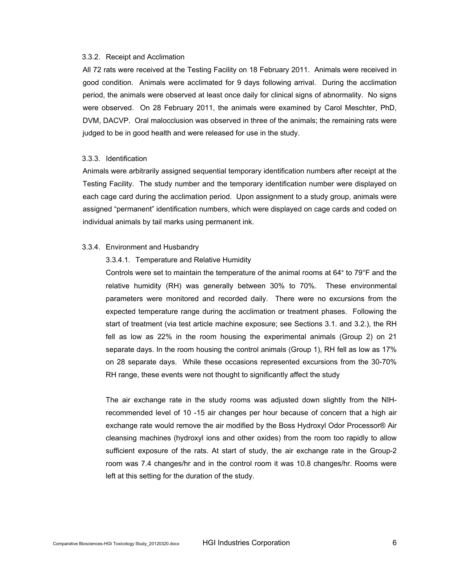#### 3.3.2. Receipt and Acclimation

All 72 rats were received at the Testing Facility on 18 February 2011. Animals were received in good condition. Animals were acclimated for 9 days following arrival. During the acclimation period, the animals were observed at least once daily for clinical signs of abnormality. No signs were observed. On 28 February 2011, the animals were examined by Carol Meschter, PhD, DVM, DACVP. Oral malocclusion was observed in three of the animals; the remaining rats were judged to be in good health and were released for use in the study.

#### 3.3.3. Identification

Animals were arbitrarily assigned sequential temporary identification numbers after receipt at the Testing Facility. The study number and the temporary identification number were displayed on each cage card during the acclimation period. Upon assignment to a study group, animals were assigned "permanent" identification numbers, which were displayed on cage cards and coded on individual animals by tail marks using permanent ink.

#### 3.3.4. Environment and Husbandry

#### 3.3.4.1. Temperature and Relative Humidity

Controls were set to maintain the temperature of the animal rooms at 64° to 79°F and the relative humidity (RH) was generally between 30% to 70%. These environmental parameters were monitored and recorded daily. There were no excursions from the expected temperature range during the acclimation or treatment phases. Following the start of treatment (via test article machine exposure; see Sections 3.1. and 3.2.), the RH fell as low as 22% in the room housing the experimental animals (Group 2) on 21 separate days. In the room housing the control animals (Group 1), RH fell as low as 17% on 28 separate days. While these occasions represented excursions from the 30-70% RH range, these events were not thought to significantly affect the study

The air exchange rate in the study rooms was adjusted down slightly from the NIHrecommended level of 10 -15 air changes per hour because of concern that a high air exchange rate would remove the air modified by the Boss Hydroxyl Odor Processor® Air cleansing machines (hydroxyl ions and other oxides) from the room too rapidly to allow sufficient exposure of the rats. At start of study, the air exchange rate in the Group-2 room was 7.4 changes/hr and in the control room it was 10.8 changes/hr. Rooms were left at this setting for the duration of the study.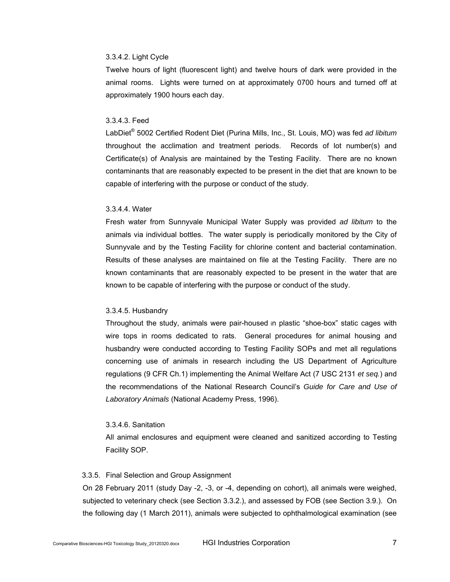### 3.3.4.2. Light Cycle

Twelve hours of light (fluorescent light) and twelve hours of dark were provided in the animal rooms. Lights were turned on at approximately 0700 hours and turned off at approximately 1900 hours each day.

#### 3.3.4.3. Feed

LabDiet® 5002 Certified Rodent Diet (Purina Mills, Inc., St. Louis, MO) was fed *ad libitum* throughout the acclimation and treatment periods. Records of lot number(s) and Certificate(s) of Analysis are maintained by the Testing Facility. There are no known contaminants that are reasonably expected to be present in the diet that are known to be capable of interfering with the purpose or conduct of the study.

#### 3.3.4.4. Water

Fresh water from Sunnyvale Municipal Water Supply was provided *ad libitum* to the animals via individual bottles. The water supply is periodically monitored by the City of Sunnyvale and by the Testing Facility for chlorine content and bacterial contamination. Results of these analyses are maintained on file at the Testing Facility. There are no known contaminants that are reasonably expected to be present in the water that are known to be capable of interfering with the purpose or conduct of the study.

#### 3.3.4.5. Husbandry

Throughout the study, animals were pair-housed in plastic "shoe-box" static cages with wire tops in rooms dedicated to rats. General procedures for animal housing and husbandry were conducted according to Testing Facility SOPs and met all regulations concerning use of animals in research including the US Department of Agriculture regulations (9 CFR Ch.1) implementing the Animal Welfare Act (7 USC 2131 *et seq.*) and the recommendations of the National Research Council's *Guide for Care and Use of Laboratory Animals* (National Academy Press, 1996).

#### 3.3.4.6. Sanitation

All animal enclosures and equipment were cleaned and sanitized according to Testing Facility SOP.

#### 3.3.5. Final Selection and Group Assignment

On 28 February 2011 (study Day -2, -3, or -4, depending on cohort), all animals were weighed, subjected to veterinary check (see Section 3.3.2.), and assessed by FOB (see Section 3.9.). On the following day (1 March 2011), animals were subjected to ophthalmological examination (see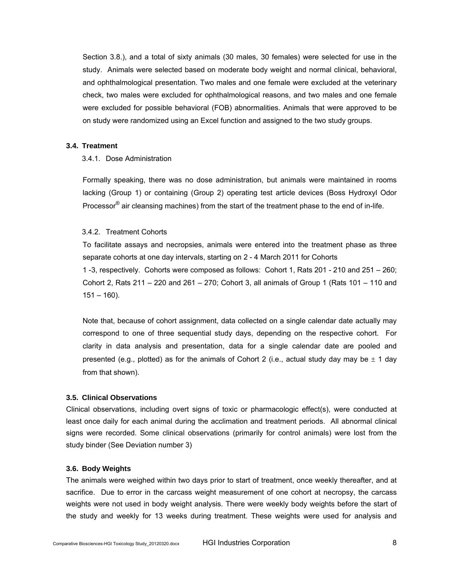Section 3.8.), and a total of sixty animals (30 males, 30 females) were selected for use in the study. Animals were selected based on moderate body weight and normal clinical, behavioral, and ophthalmological presentation. Two males and one female were excluded at the veterinary check, two males were excluded for ophthalmological reasons, and two males and one female were excluded for possible behavioral (FOB) abnormalities. Animals that were approved to be on study were randomized using an Excel function and assigned to the two study groups.

#### **3.4. Treatment**

#### 3.4.1. Dose Administration

Formally speaking, there was no dose administration, but animals were maintained in rooms lacking (Group 1) or containing (Group 2) operating test article devices (Boss Hydroxyl Odor Processor<sup>®</sup> air cleansing machines) from the start of the treatment phase to the end of in-life.

#### 3.4.2. Treatment Cohorts

To facilitate assays and necropsies, animals were entered into the treatment phase as three separate cohorts at one day intervals, starting on 2 - 4 March 2011 for Cohorts 1 -3, respectively. Cohorts were composed as follows: Cohort 1, Rats 201 - 210 and 251 – 260; Cohort 2, Rats 211 – 220 and 261 – 270; Cohort 3, all animals of Group 1 (Rats 101 – 110 and  $151 - 160$ ).

Note that, because of cohort assignment, data collected on a single calendar date actually may correspond to one of three sequential study days, depending on the respective cohort. For clarity in data analysis and presentation, data for a single calendar date are pooled and presented (e.g., plotted) as for the animals of Cohort 2 (i.e., actual study day may be  $\pm$  1 day from that shown).

#### **3.5. Clinical Observations**

Clinical observations, including overt signs of toxic or pharmacologic effect(s), were conducted at least once daily for each animal during the acclimation and treatment periods. All abnormal clinical signs were recorded. Some clinical observations (primarily for control animals) were lost from the study binder (See Deviation number 3)

# **3.6. Body Weights**

The animals were weighed within two days prior to start of treatment, once weekly thereafter, and at sacrifice. Due to error in the carcass weight measurement of one cohort at necropsy, the carcass weights were not used in body weight analysis. There were weekly body weights before the start of the study and weekly for 13 weeks during treatment. These weights were used for analysis and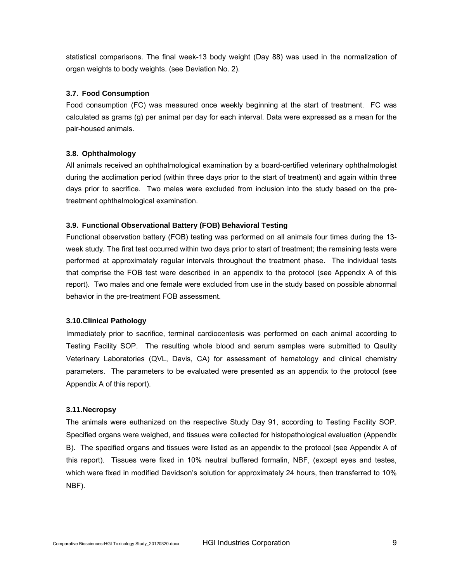statistical comparisons. The final week-13 body weight (Day 88) was used in the normalization of organ weights to body weights. (see Deviation No. 2).

# **3.7. Food Consumption**

Food consumption (FC) was measured once weekly beginning at the start of treatment. FC was calculated as grams (g) per animal per day for each interval. Data were expressed as a mean for the pair-housed animals.

# **3.8. Ophthalmology**

All animals received an ophthalmological examination by a board-certified veterinary ophthalmologist during the acclimation period (within three days prior to the start of treatment) and again within three days prior to sacrifice. Two males were excluded from inclusion into the study based on the pretreatment ophthalmological examination.

# **3.9. Functional Observational Battery (FOB) Behavioral Testing**

Functional observation battery (FOB) testing was performed on all animals four times during the 13 week study. The first test occurred within two days prior to start of treatment; the remaining tests were performed at approximately regular intervals throughout the treatment phase. The individual tests that comprise the FOB test were described in an appendix to the protocol (see Appendix A of this report). Two males and one female were excluded from use in the study based on possible abnormal behavior in the pre-treatment FOB assessment.

# **3.10. Clinical Pathology**

Immediately prior to sacrifice, terminal cardiocentesis was performed on each animal according to Testing Facility SOP. The resulting whole blood and serum samples were submitted to Qaulity Veterinary Laboratories (QVL, Davis, CA) for assessment of hematology and clinical chemistry parameters. The parameters to be evaluated were presented as an appendix to the protocol (see Appendix A of this report).

# **3.11. Necropsy**

The animals were euthanized on the respective Study Day 91, according to Testing Facility SOP. Specified organs were weighed, and tissues were collected for histopathological evaluation (Appendix B). The specified organs and tissues were listed as an appendix to the protocol (see Appendix A of this report). Tissues were fixed in 10% neutral buffered formalin, NBF, (except eyes and testes, which were fixed in modified Davidson's solution for approximately 24 hours, then transferred to 10% NBF).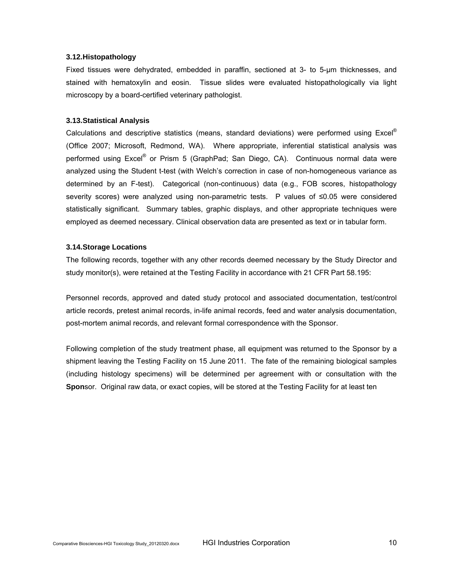#### **3.12. Histopathology**

Fixed tissues were dehydrated, embedded in paraffin, sectioned at 3- to 5-µm thicknesses, and stained with hematoxylin and eosin. Tissue slides were evaluated histopathologically via light microscopy by a board-certified veterinary pathologist.

#### **3.13. Statistical Analysis**

Calculations and descriptive statistics (means, standard deviations) were performed using  $\text{Excel}^{\circledcirc}$ (Office 2007; Microsoft, Redmond, WA). Where appropriate, inferential statistical analysis was performed using Excel<sup>®</sup> or Prism 5 (GraphPad; San Diego, CA). Continuous normal data were analyzed using the Student t-test (with Welch's correction in case of non-homogeneous variance as determined by an F-test). Categorical (non-continuous) data (e.g., FOB scores, histopathology severity scores) were analyzed using non-parametric tests. P values of ≤0.05 were considered statistically significant. Summary tables, graphic displays, and other appropriate techniques were employed as deemed necessary. Clinical observation data are presented as text or in tabular form.

#### **3.14. Storage Locations**

The following records, together with any other records deemed necessary by the Study Director and study monitor(s), were retained at the Testing Facility in accordance with 21 CFR Part 58.195:

Personnel records, approved and dated study protocol and associated documentation, test/control article records, pretest animal records, in-life animal records, feed and water analysis documentation, post-mortem animal records, and relevant formal correspondence with the Sponsor.

Following completion of the study treatment phase, all equipment was returned to the Sponsor by a shipment leaving the Testing Facility on 15 June 2011. The fate of the remaining biological samples (including histology specimens) will be determined per agreement with or consultation with the **Spon**sor. Original raw data, or exact copies, will be stored at the Testing Facility for at least ten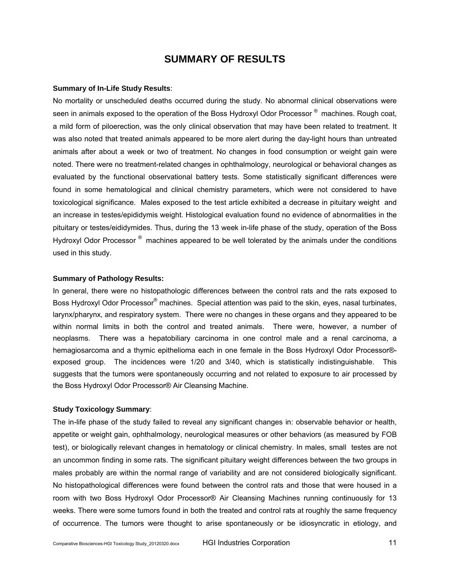# **SUMMARY OF RESULTS**

#### **Summary of In-Life Study Results**:

No mortality or unscheduled deaths occurred during the study. No abnormal clinical observations were seen in animals exposed to the operation of the Boss Hydroxyl Odor Processor<sup>®</sup> machines. Rough coat, a mild form of piloerection, was the only clinical observation that may have been related to treatment. It was also noted that treated animals appeared to be more alert during the day-light hours than untreated animals after about a week or two of treatment. No changes in food consumption or weight gain were noted. There were no treatment-related changes in ophthalmology, neurological or behavioral changes as evaluated by the functional observational battery tests. Some statistically significant differences were found in some hematological and clinical chemistry parameters, which were not considered to have toxicological significance. Males exposed to the test article exhibited a decrease in pituitary weight and an increase in testes/epididymis weight. Histological evaluation found no evidence of abnormalities in the pituitary or testes/eididymides. Thus, during the 13 week in-life phase of the study, operation of the Boss Hydroxyl Odor Processor<sup>®</sup> machines appeared to be well tolerated by the animals under the conditions used in this study.

#### **Summary of Pathology Results:**

In general, there were no histopathologic differences between the control rats and the rats exposed to Boss Hydroxyl Odor Processor® machines. Special attention was paid to the skin, eyes, nasal turbinates, larynx/pharynx, and respiratory system. There were no changes in these organs and they appeared to be within normal limits in both the control and treated animals. There were, however, a number of neoplasms. There was a hepatobiliary carcinoma in one control male and a renal carcinoma, a hemagiosarcoma and a thymic epithelioma each in one female in the Boss Hydroxyl Odor Processor® exposed group. The incidences were 1/20 and 3/40, which is statistically indistinguishable. This suggests that the tumors were spontaneously occurring and not related to exposure to air processed by the Boss Hydroxyl Odor Processor® Air Cleansing Machine.

## **Study Toxicology Summary**:

The in-life phase of the study failed to reveal any significant changes in: observable behavior or health, appetite or weight gain, ophthalmology, neurological measures or other behaviors (as measured by FOB test), or biologically relevant changes in hematology or clinical chemistry. In males, small testes are not an uncommon finding in some rats. The significant pituitary weight differences between the two groups in males probably are within the normal range of variability and are not considered biologically significant. No histopathological differences were found between the control rats and those that were housed in a room with two Boss Hydroxyl Odor Processor® Air Cleansing Machines running continuously for 13 weeks. There were some tumors found in both the treated and control rats at roughly the same frequency of occurrence. The tumors were thought to arise spontaneously or be idiosyncratic in etiology, and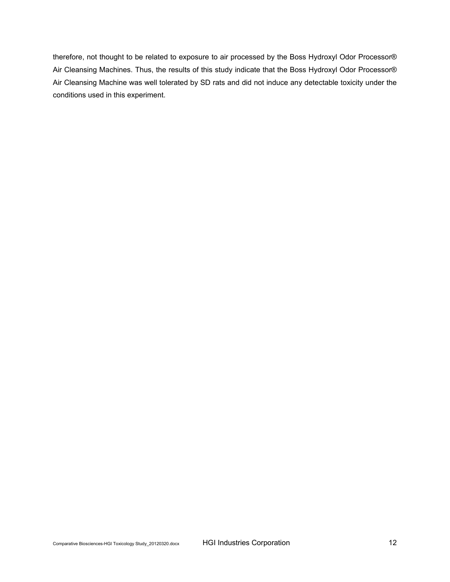therefore, not thought to be related to exposure to air processed by the Boss Hydroxyl Odor Processor® Air Cleansing Machines. Thus, the results of this study indicate that the Boss Hydroxyl Odor Processor® Air Cleansing Machine was well tolerated by SD rats and did not induce any detectable toxicity under the conditions used in this experiment.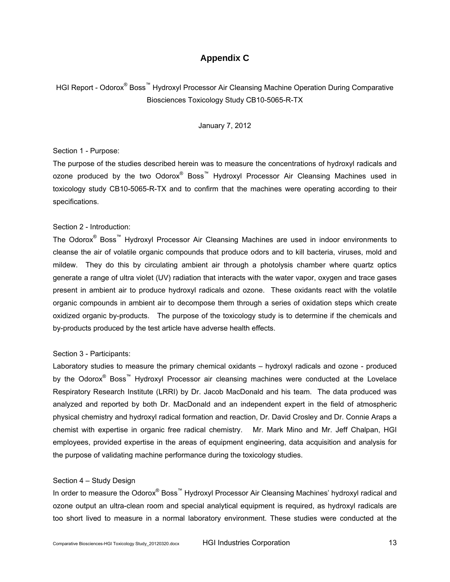# **Appendix C**

HGI Report - Odorox<sup>®</sup> Boss<sup>™</sup> Hydroxyl Processor Air Cleansing Machine Operation During Comparative Biosciences Toxicology Study CB10-5065-R-TX

January 7, 2012

#### Section 1 - Purpose:

The purpose of the studies described herein was to measure the concentrations of hydroxyl radicals and ozone produced by the two Odorox® Boss™ Hydroxyl Processor Air Cleansing Machines used in toxicology study CB10-5065-R-TX and to confirm that the machines were operating according to their specifications.

#### Section 2 - Introduction:

The Odorox<sup>®</sup> Boss<sup>™</sup> Hydroxyl Processor Air Cleansing Machines are used in indoor environments to cleanse the air of volatile organic compounds that produce odors and to kill bacteria, viruses, mold and mildew. They do this by circulating ambient air through a photolysis chamber where quartz optics generate a range of ultra violet (UV) radiation that interacts with the water vapor, oxygen and trace gases present in ambient air to produce hydroxyl radicals and ozone. These oxidants react with the volatile organic compounds in ambient air to decompose them through a series of oxidation steps which create oxidized organic by-products. The purpose of the toxicology study is to determine if the chemicals and by-products produced by the test article have adverse health effects.

## Section 3 - Participants:

Laboratory studies to measure the primary chemical oxidants – hydroxyl radicals and ozone - produced by the Odorox® Boss™ Hydroxyl Processor air cleansing machines were conducted at the Lovelace Respiratory Research Institute (LRRI) by Dr. Jacob MacDonald and his team. The data produced was analyzed and reported by both Dr. MacDonald and an independent expert in the field of atmospheric physical chemistry and hydroxyl radical formation and reaction, Dr. David Crosley and Dr. Connie Araps a chemist with expertise in organic free radical chemistry. Mr. Mark Mino and Mr. Jeff Chalpan, HGI employees, provided expertise in the areas of equipment engineering, data acquisition and analysis for the purpose of validating machine performance during the toxicology studies.

#### Section 4 – Study Design

In order to measure the Odorox® Boss™ Hydroxyl Processor Air Cleansing Machines' hydroxyl radical and ozone output an ultra-clean room and special analytical equipment is required, as hydroxyl radicals are too short lived to measure in a normal laboratory environment. These studies were conducted at the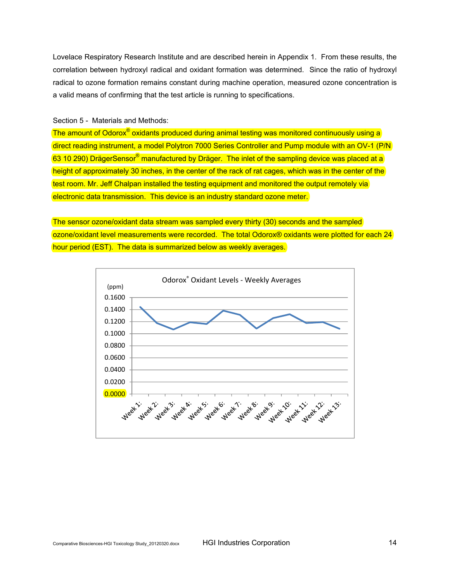Lovelace Respiratory Research Institute and are described herein in Appendix 1. From these results, the correlation between hydroxyl radical and oxidant formation was determined. Since the ratio of hydroxyl radical to ozone formation remains constant during machine operation, measured ozone concentration is a valid means of confirming that the test article is running to specifications.

#### Section 5 - Materials and Methods:

The amount of Odorox<sup>®</sup> oxidants produced during animal testing was monitored continuously using a direct reading instrument, a model Polytron 7000 Series Controller and Pump module with an OV-1 (P/N 63 10 290) DrägerSensor® manufactured by Dräger. The inlet of the sampling device was placed at a height of approximately 30 inches, in the center of the rack of rat cages, which was in the center of the test room. Mr. Jeff Chalpan installed the testing equipment and monitored the output remotely via electronic data transmission. This device is an industry standard ozone meter.

The sensor ozone/oxidant data stream was sampled every thirty (30) seconds and the sampled ozone/oxidant level measurements were recorded. The total Odorox® oxidants were plotted for each 24 hour period (EST). The data is summarized below as weekly averages.